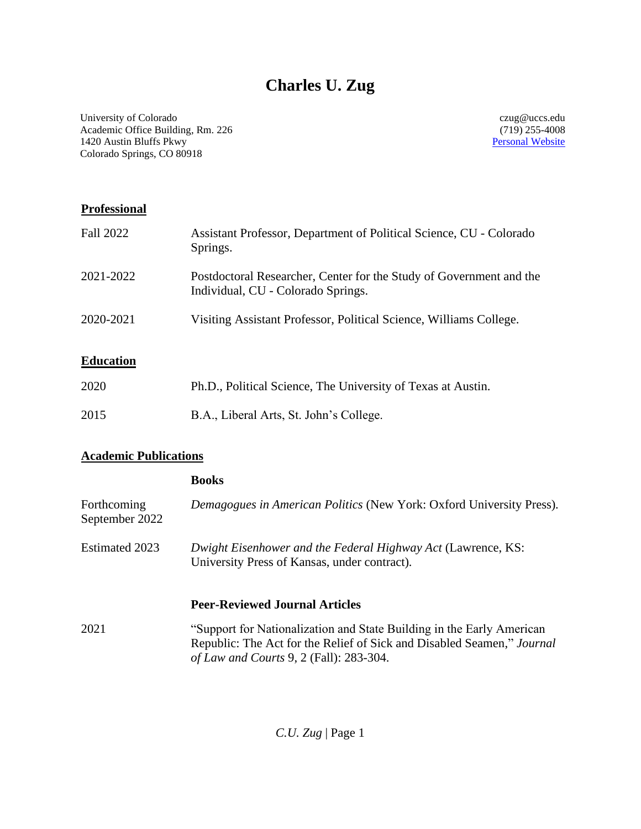# **Charles U. Zug**

University of Colorado Academic Office Building, Rm. 226 1420 Austin Bluffs Pkwy Colorado Springs, CO 80918

czug@uccs.edu (719) 255-4008 [Personal Website](https://www.charlesuzug.com/)

#### **Professional**

| <b>Fall 2022</b> | Assistant Professor, Department of Political Science, CU - Colorado<br>Springs.                           |
|------------------|-----------------------------------------------------------------------------------------------------------|
| 2021-2022        | Postdoctoral Researcher, Center for the Study of Government and the<br>Individual, CU - Colorado Springs. |
| 2020-2021        | Visiting Assistant Professor, Political Science, Williams College.                                        |

#### **Education**

| 2020 | Ph.D., Political Science, The University of Texas at Austin. |
|------|--------------------------------------------------------------|
| 2015 | B.A., Liberal Arts, St. John's College.                      |

#### **Academic Publications**

|                               | <b>Books</b>                                                                                                                                                                               |
|-------------------------------|--------------------------------------------------------------------------------------------------------------------------------------------------------------------------------------------|
| Forthcoming<br>September 2022 | Demagogues in American Politics (New York: Oxford University Press).                                                                                                                       |
| Estimated 2023                | Dwight Eisenhower and the Federal Highway Act (Lawrence, KS:<br>University Press of Kansas, under contract).                                                                               |
|                               | <b>Peer-Reviewed Journal Articles</b>                                                                                                                                                      |
| 2021                          | "Support for Nationalization and State Building in the Early American<br>Republic: The Act for the Relief of Sick and Disabled Seamen," Journal<br>of Law and Courts 9, 2 (Fall): 283-304. |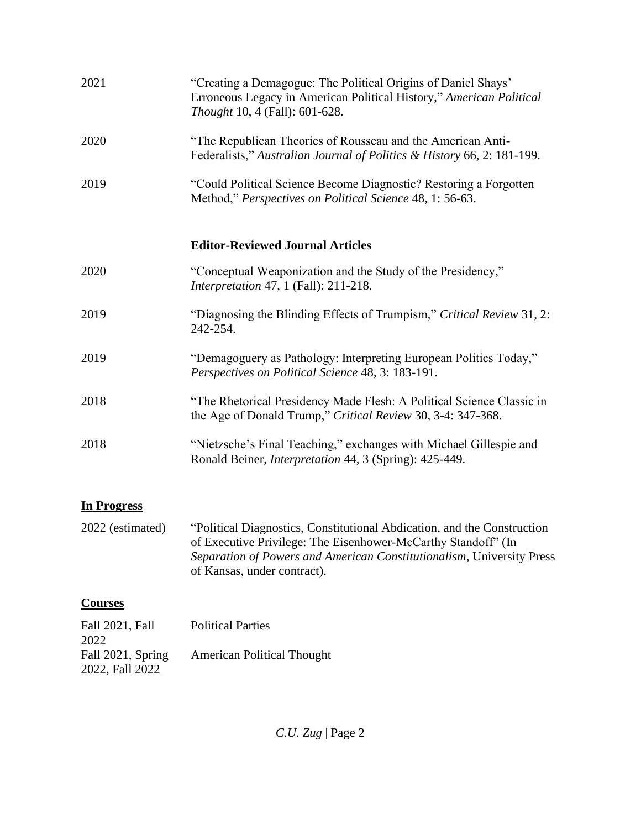| 2021                    | "Creating a Demagogue: The Political Origins of Daniel Shays"<br>Erroneous Legacy in American Political History," American Political<br><i>Thought</i> 10, 4 (Fall): 601-628.                                                                    |
|-------------------------|--------------------------------------------------------------------------------------------------------------------------------------------------------------------------------------------------------------------------------------------------|
| 2020                    | "The Republican Theories of Rousseau and the American Anti-<br>Federalists," Australian Journal of Politics & History 66, 2: 181-199.                                                                                                            |
| 2019                    | "Could Political Science Become Diagnostic? Restoring a Forgotten<br>Method," Perspectives on Political Science 48, 1: 56-63.                                                                                                                    |
|                         | <b>Editor-Reviewed Journal Articles</b>                                                                                                                                                                                                          |
| 2020                    | "Conceptual Weaponization and the Study of the Presidency,"<br><i>Interpretation</i> 47, 1 (Fall): 211-218.                                                                                                                                      |
| 2019                    | "Diagnosing the Blinding Effects of Trumpism," Critical Review 31, 2:<br>242-254.                                                                                                                                                                |
| 2019                    | "Demagoguery as Pathology: Interpreting European Politics Today,"<br>Perspectives on Political Science 48, 3: 183-191.                                                                                                                           |
| 2018                    | "The Rhetorical Presidency Made Flesh: A Political Science Classic in<br>the Age of Donald Trump," Critical Review 30, 3-4: 347-368.                                                                                                             |
| 2018                    | "Nietzsche's Final Teaching," exchanges with Michael Gillespie and<br>Ronald Beiner, <i>Interpretation</i> 44, 3 (Spring): 425-449.                                                                                                              |
| <b>In Progress</b>      |                                                                                                                                                                                                                                                  |
| 2022 (estimated)        | "Political Diagnostics, Constitutional Abdication, and the Construction<br>of Executive Privilege: The Eisenhower-McCarthy Standoff" (In<br>Separation of Powers and American Constitutionalism, University Press<br>of Kansas, under contract). |
| <b>Courses</b>          |                                                                                                                                                                                                                                                  |
| Fall 2021, Fall<br>2022 | <b>Political Parties</b>                                                                                                                                                                                                                         |
| Fall 2021, Spring       | <b>American Political Thought</b>                                                                                                                                                                                                                |

2022, Fall 2022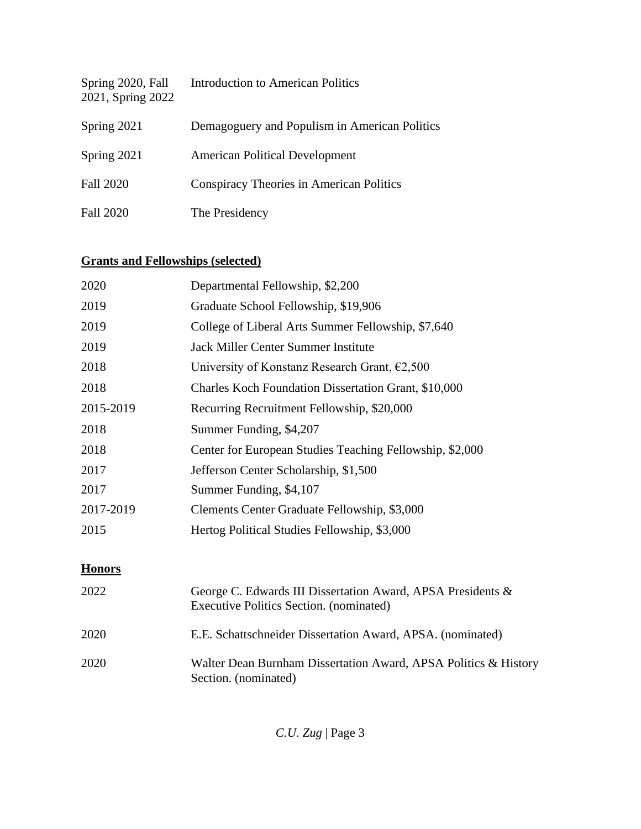| Spring 2020, Fall<br>2021, Spring 2022 | <b>Introduction to American Politics</b>      |
|----------------------------------------|-----------------------------------------------|
| Spring 2021                            | Demagoguery and Populism in American Politics |
| Spring 2021                            | <b>American Political Development</b>         |
| <b>Fall 2020</b>                       | Conspiracy Theories in American Politics      |
| <b>Fall 2020</b>                       | The Presidency                                |

### **Grants and Fellowships (selected)**

| 2020          | Departmental Fellowship, \$2,200                                                                       |
|---------------|--------------------------------------------------------------------------------------------------------|
| 2019          | Graduate School Fellowship, \$19,906                                                                   |
| 2019          | College of Liberal Arts Summer Fellowship, \$7,640                                                     |
| 2019          | <b>Jack Miller Center Summer Institute</b>                                                             |
| 2018          | University of Konstanz Research Grant, $\epsilon$ 2,500                                                |
| 2018          | Charles Koch Foundation Dissertation Grant, \$10,000                                                   |
| 2015-2019     | Recurring Recruitment Fellowship, \$20,000                                                             |
| 2018          | Summer Funding, \$4,207                                                                                |
| 2018          | Center for European Studies Teaching Fellowship, \$2,000                                               |
| 2017          | Jefferson Center Scholarship, \$1,500                                                                  |
| 2017          | Summer Funding, \$4,107                                                                                |
| 2017-2019     | Clements Center Graduate Fellowship, \$3,000                                                           |
| 2015          | Hertog Political Studies Fellowship, \$3,000                                                           |
| <b>Honors</b> |                                                                                                        |
| 2022          | George C. Edwards III Dissertation Award, APSA Presidents &<br>Executive Politics Section. (nominated) |
| 2020          | E.E. Schattschneider Dissertation Award, APSA. (nominated)                                             |
| 2020          | Walter Dean Burnham Dissertation Award, APSA Politics & History<br>Section. (nominated)                |

*C.U. Zug* | Page 3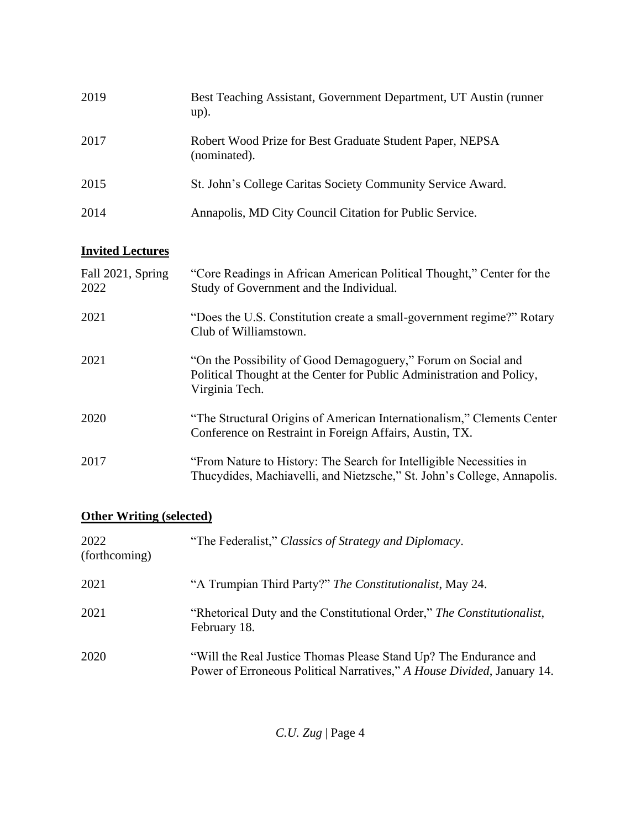| 2019 | Best Teaching Assistant, Government Department, UT Austin (runner)<br>$up)$ . |
|------|-------------------------------------------------------------------------------|
| 2017 | Robert Wood Prize for Best Graduate Student Paper, NEPSA<br>(nominated).      |
| 2015 | St. John's College Caritas Society Community Service Award.                   |
| 2014 | Annapolis, MD City Council Citation for Public Service.                       |

#### **Invited Lectures**

| Fall 2021, Spring<br>2022 | "Core Readings in African American Political Thought," Center for the<br>Study of Government and the Individual.                                         |
|---------------------------|----------------------------------------------------------------------------------------------------------------------------------------------------------|
| 2021                      | "Does the U.S. Constitution create a small-government regime?" Rotary<br>Club of Williamstown.                                                           |
| 2021                      | "On the Possibility of Good Demagoguery," Forum on Social and<br>Political Thought at the Center for Public Administration and Policy,<br>Virginia Tech. |
| 2020                      | "The Structural Origins of American Internationalism," Clements Center<br>Conference on Restraint in Foreign Affairs, Austin, TX.                        |
| 2017                      | "From Nature to History: The Search for Intelligible Necessities in<br>Thucydides, Machiavelli, and Nietzsche," St. John's College, Annapolis.           |

#### **Other Writing (selected)**

| 2022<br>(forthcoming) | "The Federalist," Classics of Strategy and Diplomacy.                                                                                      |
|-----------------------|--------------------------------------------------------------------------------------------------------------------------------------------|
| 2021                  | "A Trumpian Third Party?" The Constitutionalist, May 24.                                                                                   |
| 2021                  | "Rhetorical Duty and the Constitutional Order," The Constitutionalist,<br>February 18.                                                     |
| 2020                  | "Will the Real Justice Thomas Please Stand Up? The Endurance and<br>Power of Erroneous Political Narratives," A House Divided, January 14. |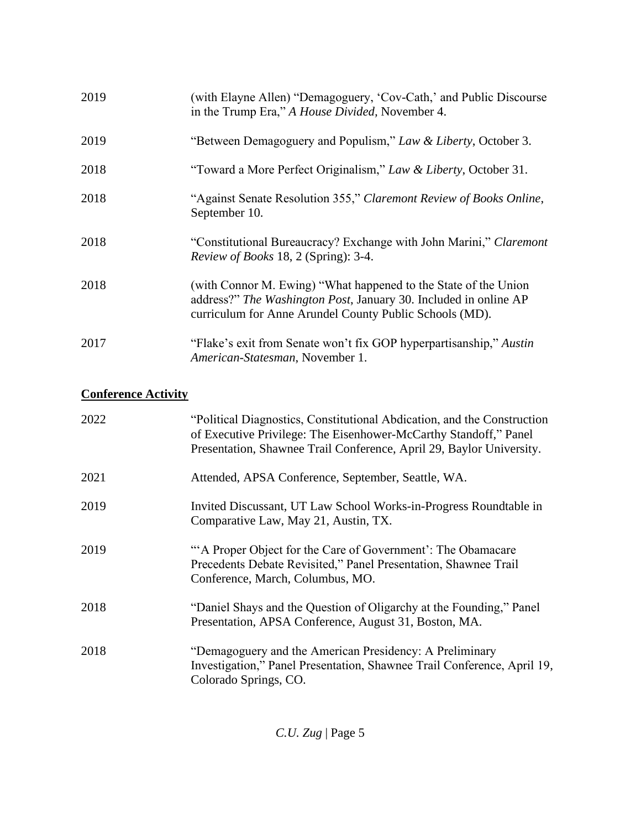| 2019 | (with Elayne Allen) "Demagoguery, 'Cov-Cath,' and Public Discourse<br>in the Trump Era," A House Divided, November 4.                                                                          |
|------|------------------------------------------------------------------------------------------------------------------------------------------------------------------------------------------------|
| 2019 | "Between Demagoguery and Populism," Law & Liberty, October 3.                                                                                                                                  |
| 2018 | "Toward a More Perfect Originalism," Law & Liberty, October 31.                                                                                                                                |
| 2018 | "Against Senate Resolution 355," Claremont Review of Books Online,<br>September 10.                                                                                                            |
| 2018 | "Constitutional Bureaucracy? Exchange with John Marini," Claremont<br><i>Review of Books</i> 18, 2 (Spring): 3-4.                                                                              |
| 2018 | (with Connor M. Ewing) "What happened to the State of the Union<br>address?" The Washington Post, January 30. Included in online AP<br>curriculum for Anne Arundel County Public Schools (MD). |
| 2017 | "Flake's exit from Senate won't fix GOP hyperpartisanship," Austin<br>American-Statesman, November 1.                                                                                          |

## **Conference Activity**

| 2022 | "Political Diagnostics, Constitutional Abdication, and the Construction<br>of Executive Privilege: The Eisenhower-McCarthy Standoff," Panel<br>Presentation, Shawnee Trail Conference, April 29, Baylor University. |
|------|---------------------------------------------------------------------------------------------------------------------------------------------------------------------------------------------------------------------|
| 2021 | Attended, APSA Conference, September, Seattle, WA.                                                                                                                                                                  |
| 2019 | Invited Discussant, UT Law School Works-in-Progress Roundtable in<br>Comparative Law, May 21, Austin, TX.                                                                                                           |
| 2019 | "A Proper Object for the Care of Government': The Obamacare<br>Precedents Debate Revisited," Panel Presentation, Shawnee Trail<br>Conference, March, Columbus, MO.                                                  |
| 2018 | "Daniel Shays and the Question of Oligarchy at the Founding," Panel<br>Presentation, APSA Conference, August 31, Boston, MA.                                                                                        |
| 2018 | "Demagoguery and the American Presidency: A Preliminary<br>Investigation," Panel Presentation, Shawnee Trail Conference, April 19,<br>Colorado Springs, CO.                                                         |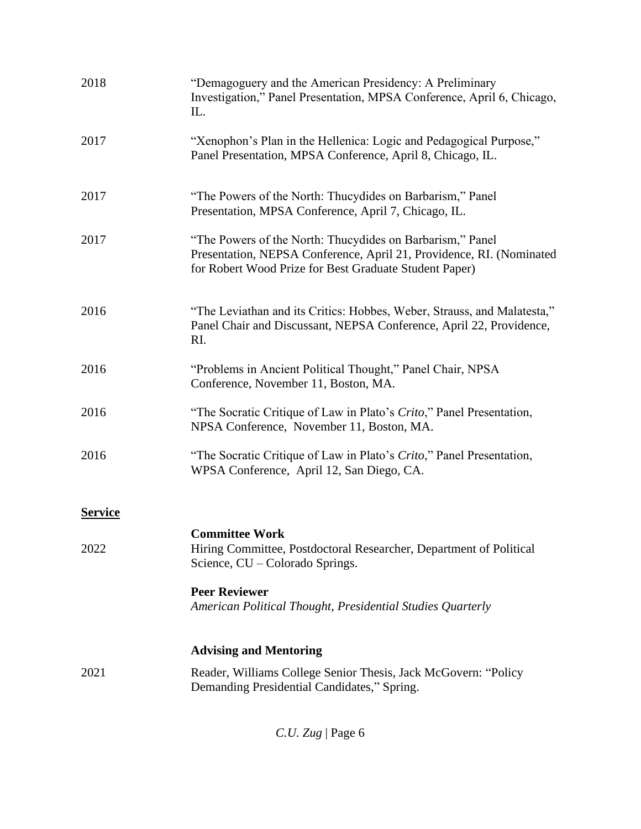| 2018           | "Demagoguery and the American Presidency: A Preliminary<br>Investigation," Panel Presentation, MPSA Conference, April 6, Chicago,<br>IL.                                                    |
|----------------|---------------------------------------------------------------------------------------------------------------------------------------------------------------------------------------------|
| 2017           | "Xenophon's Plan in the Hellenica: Logic and Pedagogical Purpose,"<br>Panel Presentation, MPSA Conference, April 8, Chicago, IL.                                                            |
| 2017           | "The Powers of the North: Thucydides on Barbarism," Panel<br>Presentation, MPSA Conference, April 7, Chicago, IL.                                                                           |
| 2017           | "The Powers of the North: Thucydides on Barbarism," Panel<br>Presentation, NEPSA Conference, April 21, Providence, RI. (Nominated<br>for Robert Wood Prize for Best Graduate Student Paper) |
| 2016           | "The Leviathan and its Critics: Hobbes, Weber, Strauss, and Malatesta,"<br>Panel Chair and Discussant, NEPSA Conference, April 22, Providence,<br>RI.                                       |
| 2016           | "Problems in Ancient Political Thought," Panel Chair, NPSA<br>Conference, November 11, Boston, MA.                                                                                          |
| 2016           | "The Socratic Critique of Law in Plato's Crito," Panel Presentation,<br>NPSA Conference, November 11, Boston, MA.                                                                           |
| 2016           | "The Socratic Critique of Law in Plato's Crito," Panel Presentation,<br>WPSA Conference, April 12, San Diego, CA.                                                                           |
| <b>Service</b> |                                                                                                                                                                                             |
| 2022           | <b>Committee Work</b><br>Hiring Committee, Postdoctoral Researcher, Department of Political<br>Science, CU – Colorado Springs.                                                              |
|                | <b>Peer Reviewer</b><br>American Political Thought, Presidential Studies Quarterly                                                                                                          |
|                | <b>Advising and Mentoring</b>                                                                                                                                                               |
| 2021           | Reader, Williams College Senior Thesis, Jack McGovern: "Policy<br>Demanding Presidential Candidates," Spring.                                                                               |